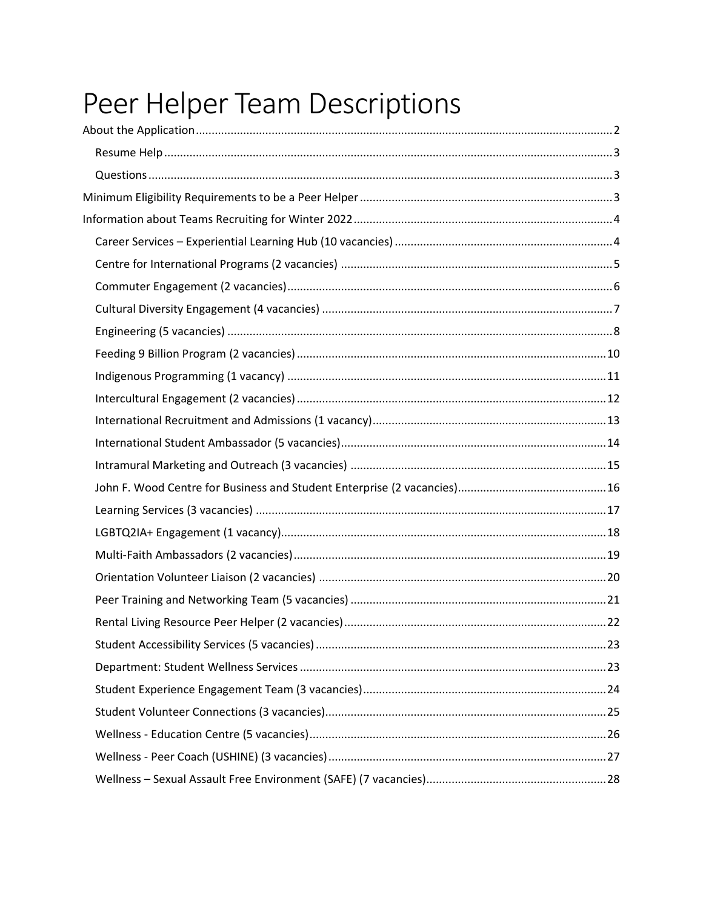# Peer Helper Team Descriptions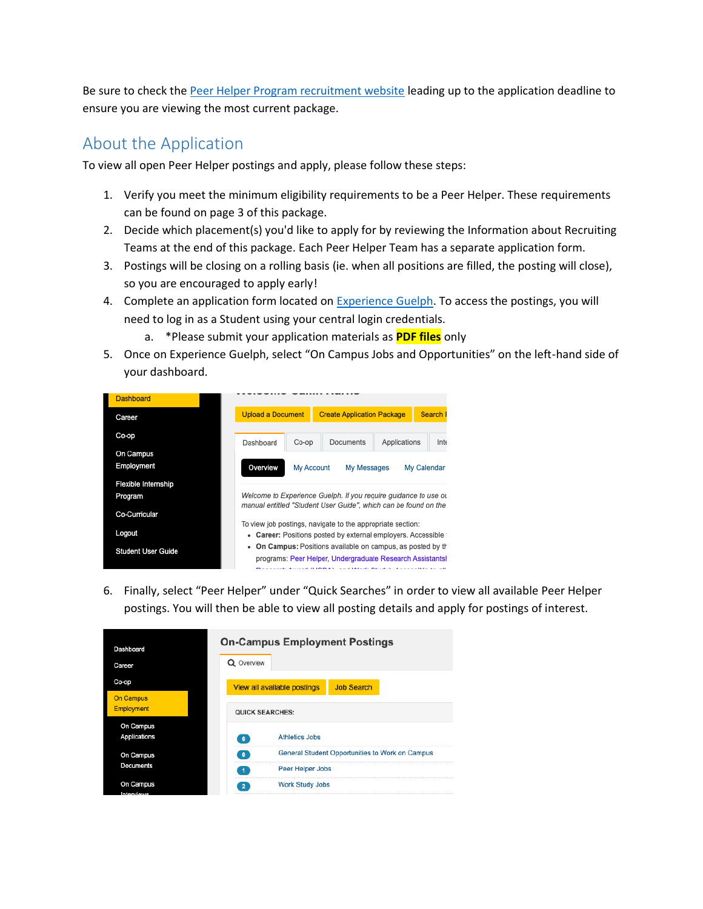Be sure to check the [Peer Helper Program recruitment website](http://www.peer.uoguelph.ca/) leading up to the application deadline to ensure you are viewing the most current package.

# <span id="page-1-0"></span>About the Application

To view all open Peer Helper postings and apply, please follow these steps:

- 1. Verify you meet the minimum eligibility requirements to be a Peer Helper. These requirements can be found on page 3 of this package.
- 2. Decide which placement(s) you'd like to apply for by reviewing the Information about Recruiting Teams at the end of this package. Each Peer Helper Team has a separate application form.
- 3. Postings will be closing on a rolling basis (ie. when all positions are filled, the posting will close), so you are encouraged to apply early!
- 4. Complete an application form located on [Experience Guelph.](https://experienceguelph.ca/) To access the postings, you will need to log in as a Student using your central login credentials.
	- a. \*Please submit your application materials as **PDF files** only
- 5. Once on Experience Guelph, select "On Campus Jobs and Opportunities" on the left-hand side of your dashboard.

| <b>Dashboard</b>           |                                                                                                                                    |                                                                                                                              |                                                              |                                   |             |  |  |
|----------------------------|------------------------------------------------------------------------------------------------------------------------------------|------------------------------------------------------------------------------------------------------------------------------|--------------------------------------------------------------|-----------------------------------|-------------|--|--|
|                            |                                                                                                                                    | <b>Upload a Document</b>                                                                                                     |                                                              | <b>Create Application Package</b> |             |  |  |
|                            | Dashboard                                                                                                                          | Co-op                                                                                                                        | Documents                                                    | Applications                      | Inte        |  |  |
| On Campus                  |                                                                                                                                    |                                                                                                                              |                                                              |                                   |             |  |  |
|                            | Overview                                                                                                                           | My Account                                                                                                                   | My Messages                                                  |                                   | My Calendar |  |  |
| <b>Flexible Internship</b> |                                                                                                                                    |                                                                                                                              |                                                              |                                   |             |  |  |
|                            | Welcome to Experience Guelph. If you require guidance to use ou<br>manual entitled "Student User Guide", which can be found on the |                                                                                                                              |                                                              |                                   |             |  |  |
|                            |                                                                                                                                    |                                                                                                                              |                                                              |                                   |             |  |  |
|                            | To view job postings, navigate to the appropriate section:<br>Career: Positions posted by external employers. Accessible to        |                                                                                                                              |                                                              |                                   |             |  |  |
|                            | ٠                                                                                                                                  |                                                                                                                              |                                                              |                                   |             |  |  |
| <b>Student User Guide</b>  |                                                                                                                                    | On Campus: Positions available on campus, as posted by the<br>٠<br>programs: Peer Helper, Undergraduate Research Assistantsh |                                                              |                                   |             |  |  |
|                            |                                                                                                                                    |                                                                                                                              | special Account (UPDEA), and Winds Circuit Accounting to all |                                   |             |  |  |

6. Finally, select "Peer Helper" under "Quick Searches" in order to view all available Peer Helper postings. You will then be able to view all posting details and apply for postings of interest.

| Dashboard<br>Career       | <b>On-Campus Employment Postings</b><br>Q Overview              |  |  |  |  |  |
|---------------------------|-----------------------------------------------------------------|--|--|--|--|--|
| Co-op<br><b>On Campus</b> | <b>Job Search</b><br>View all available postings                |  |  |  |  |  |
| <b>Employment</b>         | <b>QUICK SEARCHES:</b>                                          |  |  |  |  |  |
| On Campus<br>Applications | <b>Athletics Jobs</b><br>$\bullet$                              |  |  |  |  |  |
| On Campus                 | General Student Opportunities to Work on Campus<br>$\mathbf{0}$ |  |  |  |  |  |
| <b>Documents</b>          | Peer Helper Jobs                                                |  |  |  |  |  |
| On Campus<br>Intonsigue   | <b>Work Study Jobs</b><br>$\mathbf{2}$                          |  |  |  |  |  |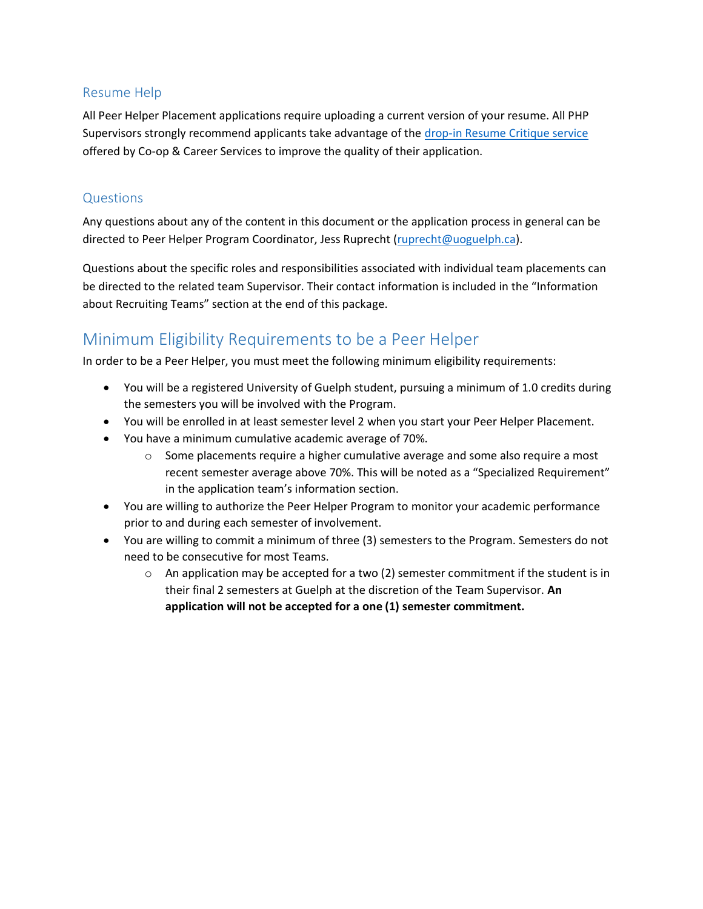### <span id="page-2-0"></span>Resume Help

All Peer Helper Placement applications require uploading a current version of your resume. All PHP Supervisors strongly recommend applicants take advantage of the [drop-in Resume Critique service](https://www.recruitguelph.ca/cecs/students-alumni/drop-sessions) offered by Co-op & Career Services to improve the quality of their application.

### <span id="page-2-1"></span>**Questions**

Any questions about any of the content in this document or the application process in general can be directed to Peer Helper Program Coordinator, Jess Ruprecht [\(ruprecht@uoguelph.ca\)](mailto:ruprecht@uoguelph.ca).

Questions about the specific roles and responsibilities associated with individual team placements can be directed to the related team Supervisor. Their contact information is included in the "Information about Recruiting Teams" section at the end of this package.

## <span id="page-2-2"></span>Minimum Eligibility Requirements to be a Peer Helper

In order to be a Peer Helper, you must meet the following minimum eligibility requirements:

- You will be a registered University of Guelph student, pursuing a minimum of 1.0 credits during the semesters you will be involved with the Program.
- You will be enrolled in at least semester level 2 when you start your Peer Helper Placement.
- You have a minimum cumulative academic average of 70%.
	- $\circ$  Some placements require a higher cumulative average and some also require a most recent semester average above 70%. This will be noted as a "Specialized Requirement" in the application team's information section.
- You are willing to authorize the Peer Helper Program to monitor your academic performance prior to and during each semester of involvement.
- You are willing to commit a minimum of three (3) semesters to the Program. Semesters do not need to be consecutive for most Teams.
	- $\circ$  An application may be accepted for a two (2) semester commitment if the student is in their final 2 semesters at Guelph at the discretion of the Team Supervisor. **An application will not be accepted for a one (1) semester commitment.**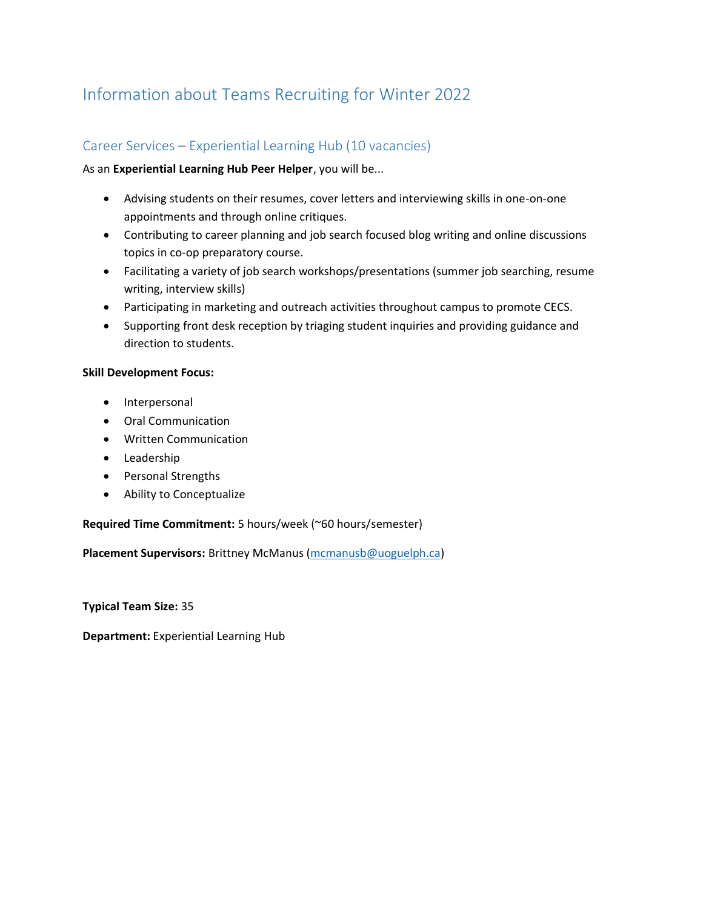# <span id="page-3-1"></span><span id="page-3-0"></span>Information about Teams Recruiting for Winter 2022

### Career Services – Experiential Learning Hub (10 vacancies)

#### As an **Experiential Learning Hub Peer Helper**, you will be...

- Advising students on their resumes, cover letters and interviewing skills in one-on-one appointments and through online critiques.
- Contributing to career planning and job search focused blog writing and online discussions topics in co-op preparatory course.
- Facilitating a variety of job search workshops/presentations (summer job searching, resume writing, interview skills)
- Participating in marketing and outreach activities throughout campus to promote CECS.
- Supporting front desk reception by triaging student inquiries and providing guidance and direction to students.

#### **Skill Development Focus:**

- Interpersonal
- Oral Communication
- Written Communication
- Leadership
- Personal Strengths
- Ability to Conceptualize

#### **Required Time Commitment:** 5 hours/week (~60 hours/semester)

**Placement Supervisors:** Brittney McManus [\(mcmanusb@uoguelph.ca\)](mailto:mcmanusb@uoguelph.ca)

**Typical Team Size:** 35

**Department:** Experiential Learning Hub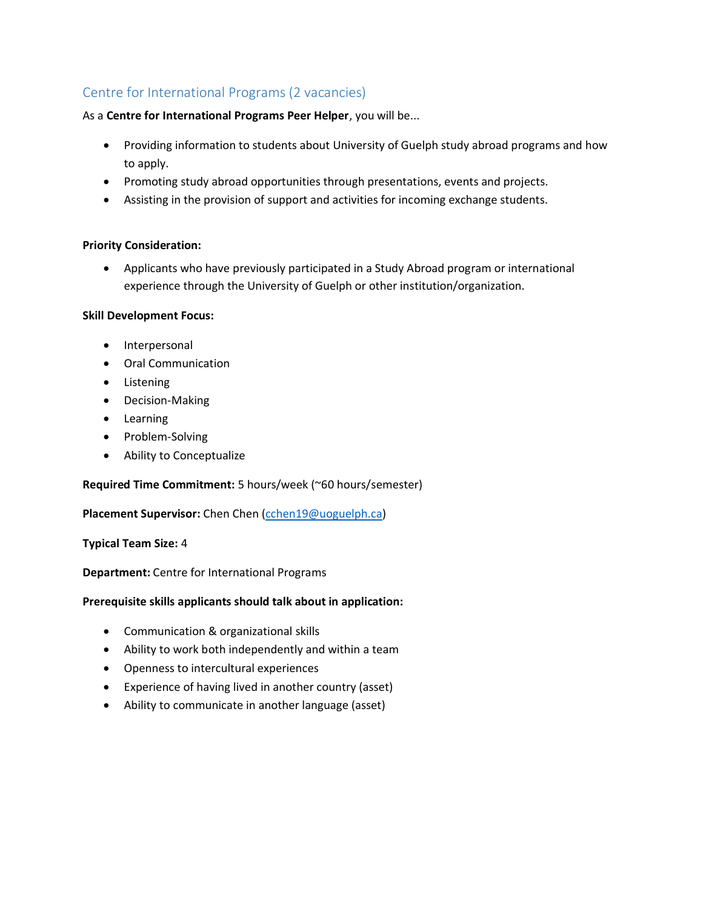### <span id="page-4-0"></span>Centre for International Programs (2 vacancies)

As a **Centre for International Programs Peer Helper**, you will be...

- Providing information to students about University of Guelph study abroad programs and how to apply.
- Promoting study abroad opportunities through presentations, events and projects.
- Assisting in the provision of support and activities for incoming exchange students.

#### **Priority Consideration:**

• Applicants who have previously participated in a Study Abroad program or international experience through the University of Guelph or other institution/organization.

#### **Skill Development Focus:**

- Interpersonal
- Oral Communication
- Listening
- Decision-Making
- Learning
- Problem-Solving
- Ability to Conceptualize

#### **Required Time Commitment:** 5 hours/week (~60 hours/semester)

#### **Placement Supervisor:** Chen Chen [\(cchen19@uoguelph.ca\)](mailto:cchen19@uoguelph.ca)

#### **Typical Team Size:** 4

#### **Department:** Centre for International Programs

- Communication & organizational skills
- Ability to work both independently and within a team
- Openness to intercultural experiences
- Experience of having lived in another country (asset)
- Ability to communicate in another language (asset)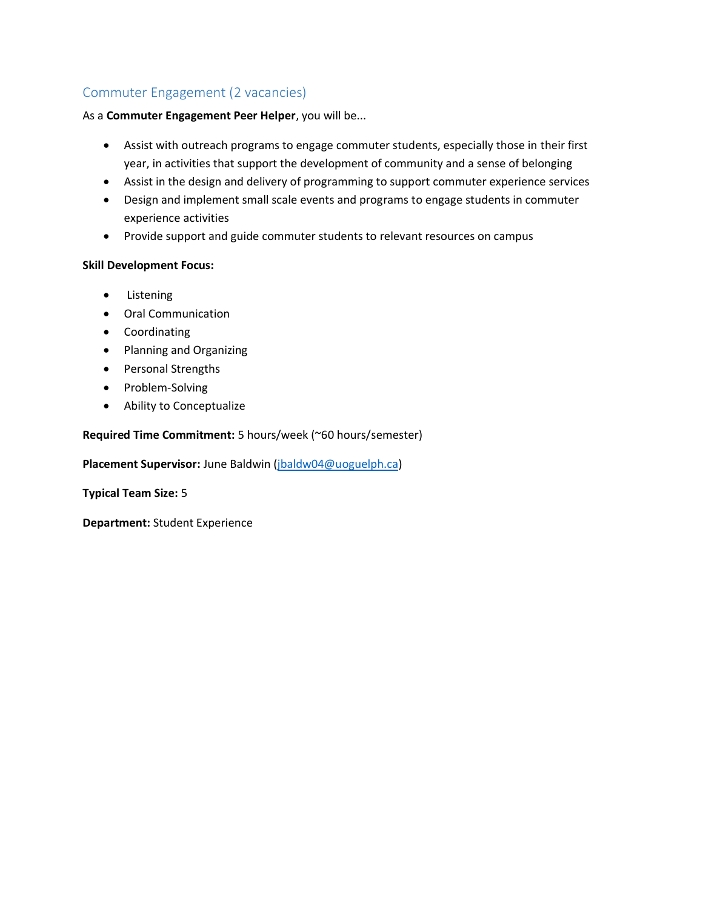### <span id="page-5-0"></span>Commuter Engagement (2 vacancies)

#### As a **Commuter Engagement Peer Helper**, you will be...

- Assist with outreach programs to engage commuter students, especially those in their first year, in activities that support the development of community and a sense of belonging
- Assist in the design and delivery of programming to support commuter experience services
- Design and implement small scale events and programs to engage students in commuter experience activities
- Provide support and guide commuter students to relevant resources on campus

#### **Skill Development Focus:**

- Listening
- Oral Communication
- Coordinating
- Planning and Organizing
- Personal Strengths
- Problem-Solving
- Ability to Conceptualize

#### **Required Time Commitment:** 5 hours/week (~60 hours/semester)

**Placement Supervisor:** June Baldwin [\(jbaldw04@uoguelph.ca\)](mailto:jbaldw04@uoguelph.ca)

**Typical Team Size:** 5

**Department:** Student Experience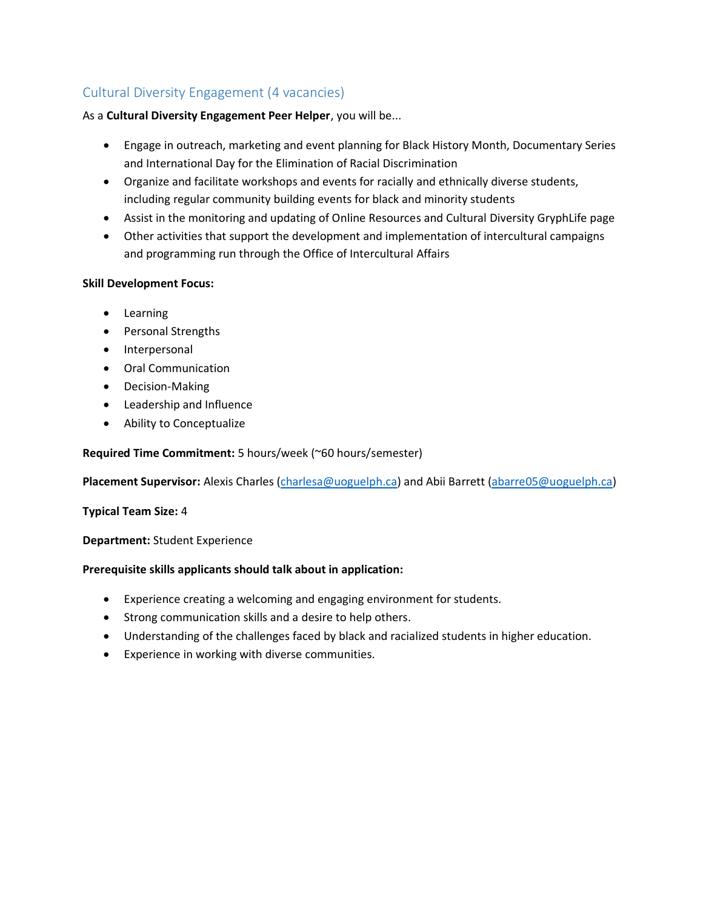### <span id="page-6-0"></span>Cultural Diversity Engagement (4 vacancies)

#### As a **Cultural Diversity Engagement Peer Helper**, you will be...

- Engage in outreach, marketing and event planning for Black History Month, Documentary Series and International Day for the Elimination of Racial Discrimination
- Organize and facilitate workshops and events for racially and ethnically diverse students, including regular community building events for black and minority students
- Assist in the monitoring and updating of Online Resources and Cultural Diversity GryphLife page
- Other activities that support the development and implementation of intercultural campaigns and programming run through the Office of Intercultural Affairs

#### **Skill Development Focus:**

- Learning
- Personal Strengths
- Interpersonal
- Oral Communication
- Decision-Making
- Leadership and Influence
- Ability to Conceptualize

#### **Required Time Commitment:** 5 hours/week (~60 hours/semester)

**Placement Supervisor:** Alexis Charles [\(charlesa@uoguelph.ca\)](mailto:charlesa@uoguelph.ca) and Abii Barrett [\(abarre05@uoguelph.ca\)](mailto:abarre05@uoguelph.ca)

#### **Typical Team Size:** 4

#### **Department:** Student Experience

- Experience creating a welcoming and engaging environment for students.
- Strong communication skills and a desire to help others.
- Understanding of the challenges faced by black and racialized students in higher education.
- Experience in working with diverse communities.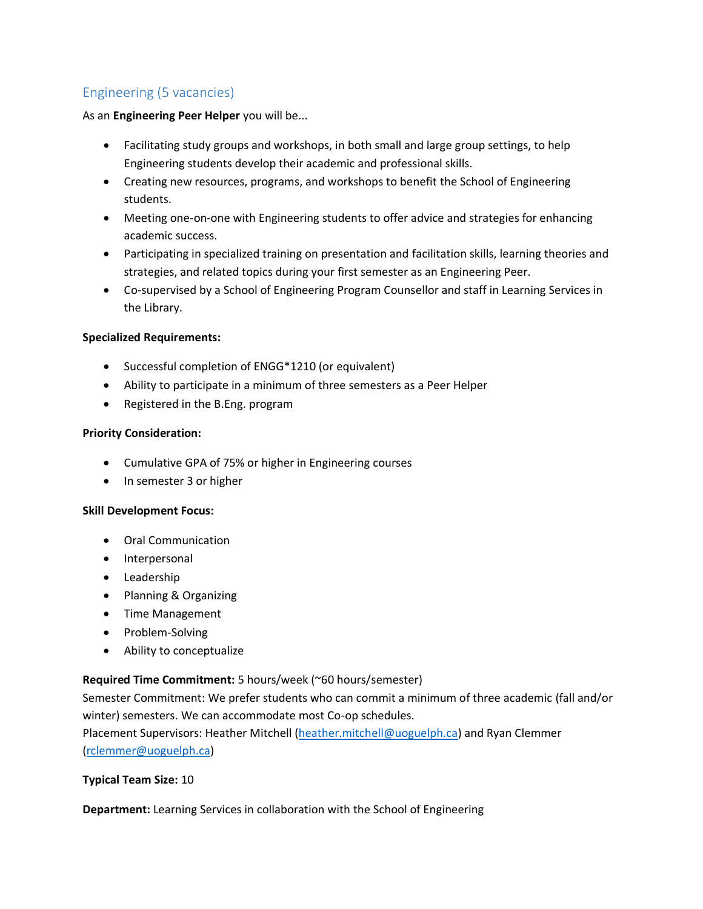### <span id="page-7-0"></span>Engineering (5 vacancies)

As an **Engineering Peer Helper** you will be...

- Facilitating study groups and workshops, in both small and large group settings, to help Engineering students develop their academic and professional skills.
- Creating new resources, programs, and workshops to benefit the School of Engineering students.
- Meeting one-on-one with Engineering students to offer advice and strategies for enhancing academic success.
- Participating in specialized training on presentation and facilitation skills, learning theories and strategies, and related topics during your first semester as an Engineering Peer.
- Co-supervised by a School of Engineering Program Counsellor and staff in Learning Services in the Library.

#### **Specialized Requirements:**

- Successful completion of ENGG\*1210 (or equivalent)
- Ability to participate in a minimum of three semesters as a Peer Helper
- Registered in the B.Eng. program

#### **Priority Consideration:**

- Cumulative GPA of 75% or higher in Engineering courses
- In semester 3 or higher

#### **Skill Development Focus:**

- Oral Communication
- Interpersonal
- Leadership
- Planning & Organizing
- Time Management
- Problem-Solving
- Ability to conceptualize

#### **Required Time Commitment:** 5 hours/week (~60 hours/semester)

Semester Commitment: We prefer students who can commit a minimum of three academic (fall and/or winter) semesters. We can accommodate most Co-op schedules.

Placement Supervisors: Heather Mitchell [\(heather.mitchell@uoguelph.ca\)](mailto:heather.mitchell@uoguelph.ca) and Ryan Clemmer [\(rclemmer@uoguelph.ca\)](mailto:rclemmer@uoguelph.ca)

#### **Typical Team Size:** 10

**Department:** Learning Services in collaboration with the School of Engineering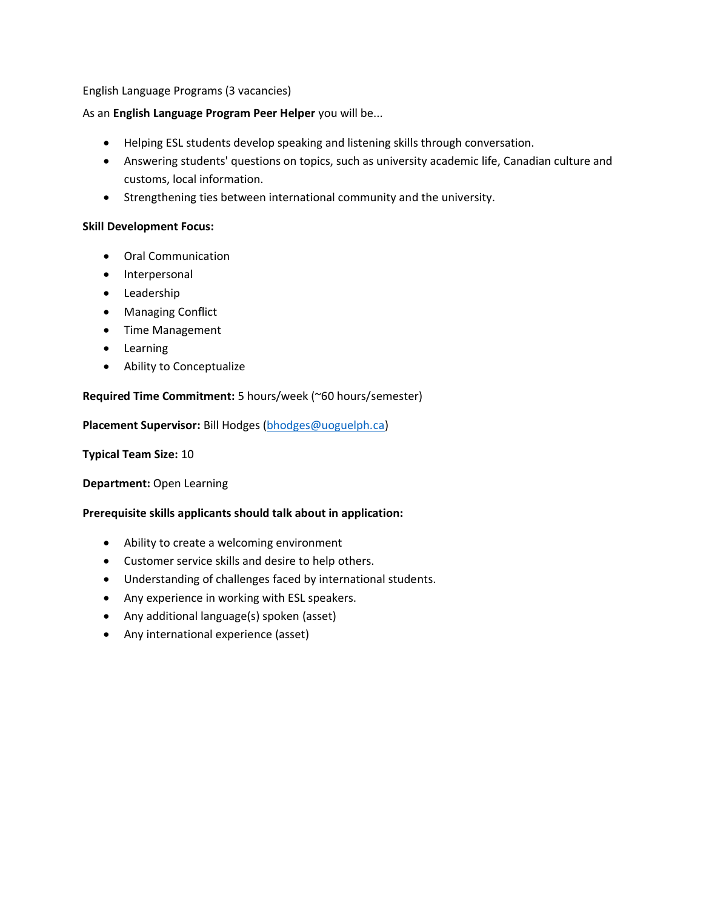English Language Programs (3 vacancies)

#### As an **English Language Program Peer Helper** you will be...

- Helping ESL students develop speaking and listening skills through conversation.
- Answering students' questions on topics, such as university academic life, Canadian culture and customs, local information.
- Strengthening ties between international community and the university.

#### **Skill Development Focus:**

- Oral Communication
- Interpersonal
- Leadership
- Managing Conflict
- Time Management
- Learning
- Ability to Conceptualize

#### **Required Time Commitment:** 5 hours/week (~60 hours/semester)

**Placement Supervisor:** Bill Hodges [\(bhodges@uoguelph.ca\)](mailto:bhodges@uoguelph.ca)

**Typical Team Size:** 10

**Department:** Open Learning

- Ability to create a welcoming environment
- Customer service skills and desire to help others.
- Understanding of challenges faced by international students.
- Any experience in working with ESL speakers.
- Any additional language(s) spoken (asset)
- Any international experience (asset)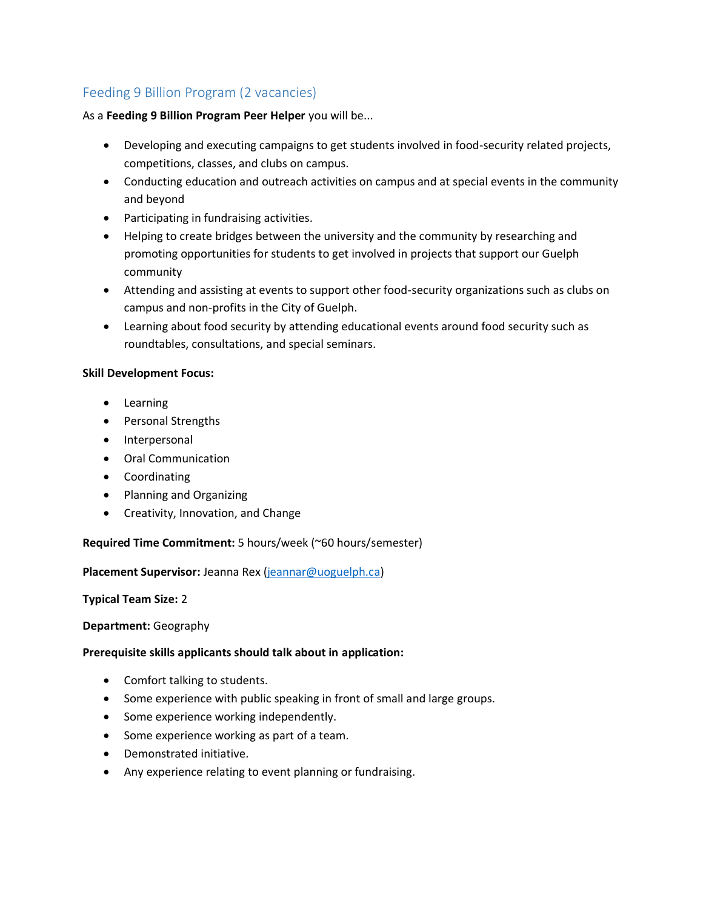### <span id="page-9-0"></span>Feeding 9 Billion Program (2 vacancies)

As a **Feeding 9 Billion Program Peer Helper** you will be...

- Developing and executing campaigns to get students involved in food-security related projects, competitions, classes, and clubs on campus.
- Conducting education and outreach activities on campus and at special events in the community and beyond
- Participating in fundraising activities.
- Helping to create bridges between the university and the community by researching and promoting opportunities for students to get involved in projects that support our Guelph community
- Attending and assisting at events to support other food-security organizations such as clubs on campus and non-profits in the City of Guelph.
- Learning about food security by attending educational events around food security such as roundtables, consultations, and special seminars.

#### **Skill Development Focus:**

- Learning
- Personal Strengths
- Interpersonal
- Oral Communication
- Coordinating
- Planning and Organizing
- Creativity, Innovation, and Change

**Required Time Commitment:** 5 hours/week (~60 hours/semester)

**Placement Supervisor:** Jeanna Rex [\(jeannar@uoguelph.ca\)](mailto:jeannar@uoguelph.ca)

#### **Typical Team Size:** 2

#### **Department:** Geography

- Comfort talking to students.
- Some experience with public speaking in front of small and large groups.
- Some experience working independently.
- Some experience working as part of a team.
- Demonstrated initiative.
- Any experience relating to event planning or fundraising.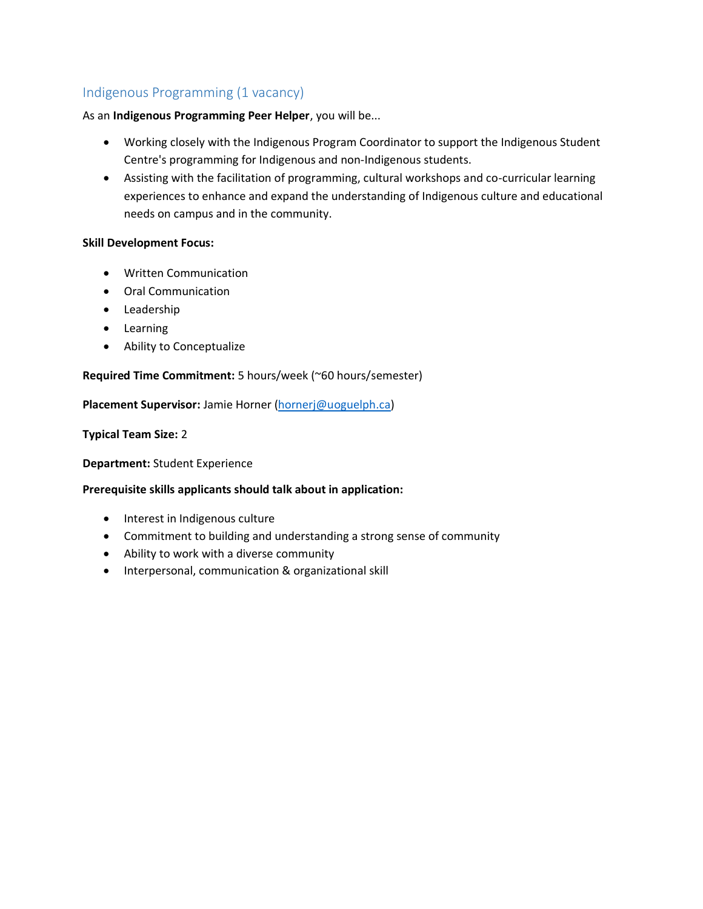### <span id="page-10-0"></span>Indigenous Programming (1 vacancy)

#### As an **Indigenous Programming Peer Helper**, you will be...

- Working closely with the Indigenous Program Coordinator to support the Indigenous Student Centre's programming for Indigenous and non-Indigenous students.
- Assisting with the facilitation of programming, cultural workshops and co-curricular learning experiences to enhance and expand the understanding of Indigenous culture and educational needs on campus and in the community.

#### **Skill Development Focus:**

- Written Communication
- Oral Communication
- Leadership
- Learning
- Ability to Conceptualize

#### **Required Time Commitment:** 5 hours/week (~60 hours/semester)

**Placement Supervisor:** Jamie Horner [\(hornerj@uoguelph.ca\)](mailto:hornerj@uoguelph.ca)

#### **Typical Team Size:** 2

#### **Department:** Student Experience

- Interest in Indigenous culture
- Commitment to building and understanding a strong sense of community
- Ability to work with a diverse community
- Interpersonal, communication & organizational skill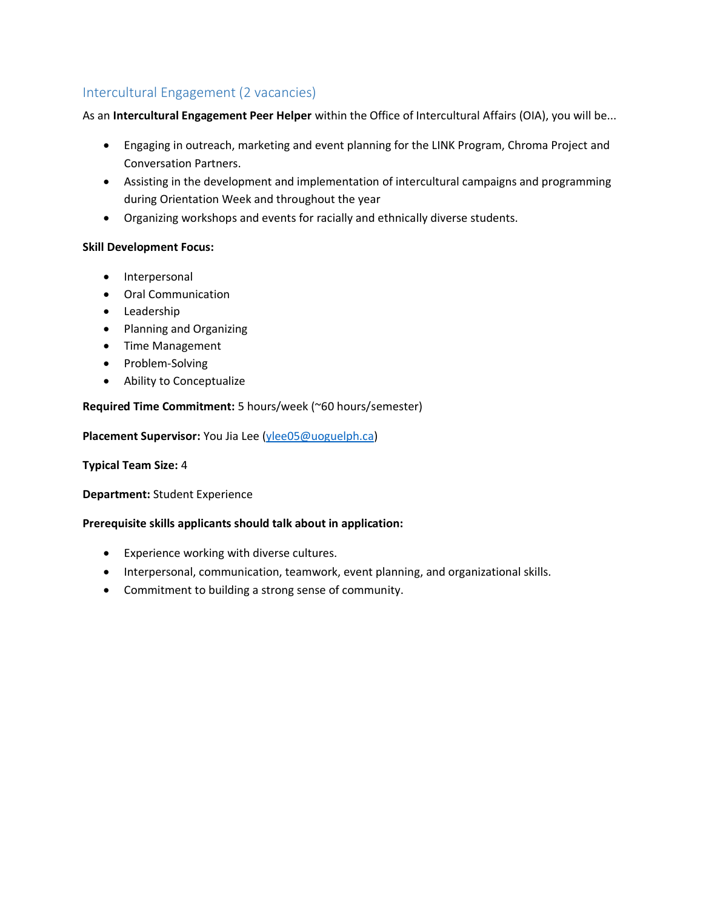### <span id="page-11-0"></span>Intercultural Engagement (2 vacancies)

As an **Intercultural Engagement Peer Helper** within the Office of Intercultural Affairs (OIA), you will be...

- Engaging in outreach, marketing and event planning for the LINK Program, Chroma Project and Conversation Partners.
- Assisting in the development and implementation of intercultural campaigns and programming during Orientation Week and throughout the year
- Organizing workshops and events for racially and ethnically diverse students.

#### **Skill Development Focus:**

- Interpersonal
- Oral Communication
- Leadership
- Planning and Organizing
- Time Management
- Problem-Solving
- Ability to Conceptualize

#### **Required Time Commitment:** 5 hours/week (~60 hours/semester)

**Placement Supervisor:** You Jia Lee [\(ylee05@uoguelph.ca\)](mailto:ylee05@uoguelph.ca)

#### **Typical Team Size:** 4

**Department:** Student Experience

- Experience working with diverse cultures.
- Interpersonal, communication, teamwork, event planning, and organizational skills.
- Commitment to building a strong sense of community.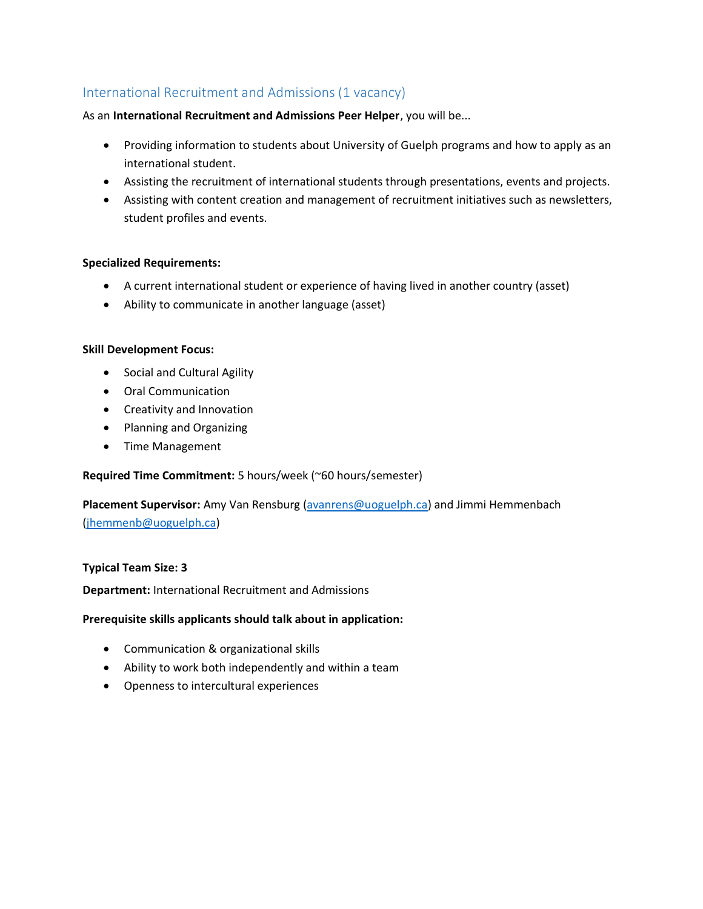### <span id="page-12-0"></span>International Recruitment and Admissions (1 vacancy)

#### As an **International Recruitment and Admissions Peer Helper**, you will be...

- Providing information to students about University of Guelph programs and how to apply as an international student.
- Assisting the recruitment of international students through presentations, events and projects.
- Assisting with content creation and management of recruitment initiatives such as newsletters, student profiles and events.

#### **Specialized Requirements:**

- A current international student or experience of having lived in another country (asset)
- Ability to communicate in another language (asset)

#### **Skill Development Focus:**

- Social and Cultural Agility
- Oral Communication
- Creativity and Innovation
- Planning and Organizing
- Time Management

#### **Required Time Commitment:** 5 hours/week (~60 hours/semester)

### **Placement Supervisor:** Amy Van Rensburg [\(avanrens@uoguelph.ca\)](mailto:avanrens@uoguelph.ca) and Jimmi Hemmenbach [\(jhemmenb@uoguelph.ca\)](mailto:jhemmenb@uoguelph.ca)

#### **Typical Team Size: 3**

**Department:** International Recruitment and Admissions

- Communication & organizational skills
- Ability to work both independently and within a team
- Openness to intercultural experiences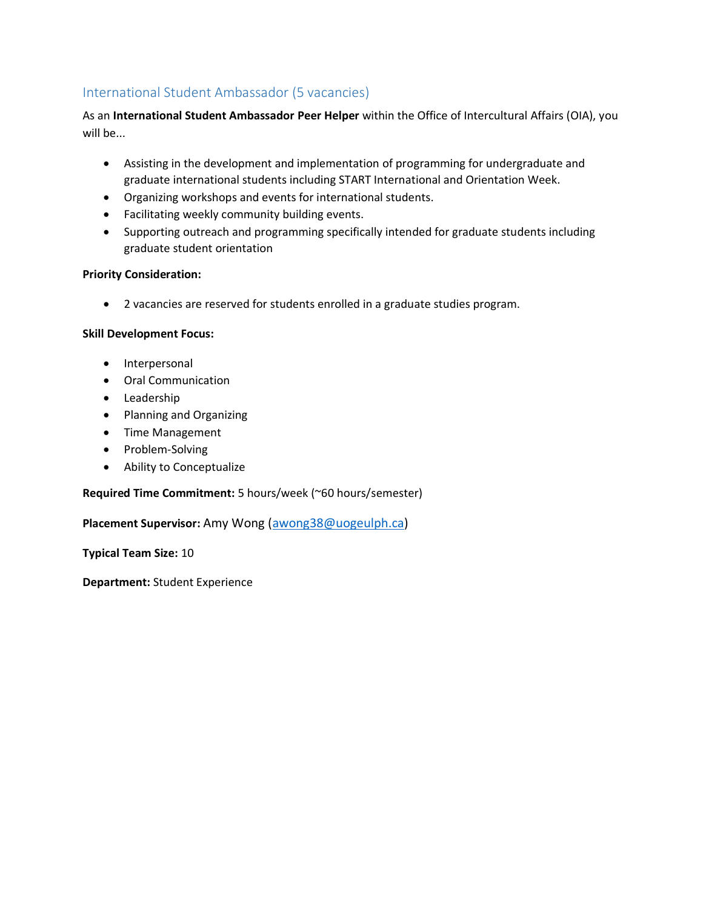### <span id="page-13-0"></span>International Student Ambassador (5 vacancies)

As an **International Student Ambassador Peer Helper** within the Office of Intercultural Affairs (OIA), you will be...

- Assisting in the development and implementation of programming for undergraduate and graduate international students including START International and Orientation Week.
- Organizing workshops and events for international students.
- Facilitating weekly community building events.
- Supporting outreach and programming specifically intended for graduate students including graduate student orientation

#### **Priority Consideration:**

• 2 vacancies are reserved for students enrolled in a graduate studies program.

#### **Skill Development Focus:**

- Interpersonal
- Oral Communication
- Leadership
- Planning and Organizing
- Time Management
- Problem-Solving
- Ability to Conceptualize

#### **Required Time Commitment:** 5 hours/week (~60 hours/semester)

#### **Placement Supervisor:** Amy Wong [\(awong38@uogeulph.ca\)](mailto:awong38@uogeulph.ca)

**Typical Team Size:** 10

**Department:** Student Experience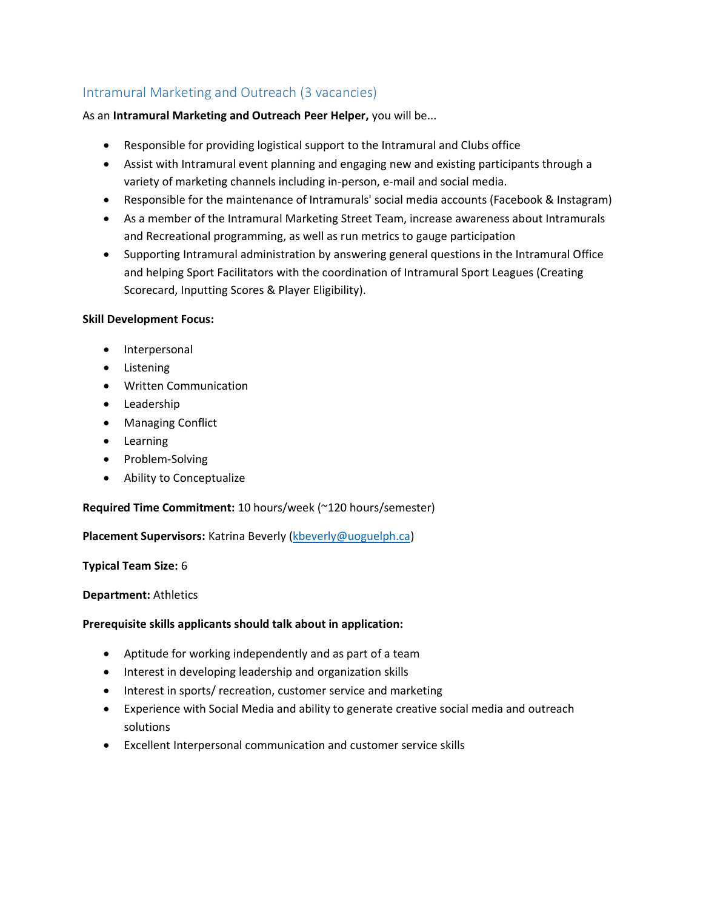### <span id="page-14-0"></span>Intramural Marketing and Outreach (3 vacancies)

As an **Intramural Marketing and Outreach Peer Helper,** you will be...

- Responsible for providing logistical support to the Intramural and Clubs office
- Assist with Intramural event planning and engaging new and existing participants through a variety of marketing channels including in-person, e-mail and social media.
- Responsible for the maintenance of Intramurals' social media accounts (Facebook & Instagram)
- As a member of the Intramural Marketing Street Team, increase awareness about Intramurals and Recreational programming, as well as run metrics to gauge participation
- Supporting Intramural administration by answering general questions in the Intramural Office and helping Sport Facilitators with the coordination of Intramural Sport Leagues (Creating Scorecard, Inputting Scores & Player Eligibility).

#### **Skill Development Focus:**

- Interpersonal
- Listening
- Written Communication
- Leadership
- Managing Conflict
- Learning
- Problem-Solving
- Ability to Conceptualize

#### **Required Time Commitment:** 10 hours/week (~120 hours/semester)

**Placement Supervisors:** Katrina Beverly [\(kbeverly@uoguelph.ca\)](mailto:kbeverly@uoguelph.ca)

#### **Typical Team Size:** 6

#### **Department:** Athletics

- Aptitude for working independently and as part of a team
- Interest in developing leadership and organization skills
- Interest in sports/ recreation, customer service and marketing
- Experience with Social Media and ability to generate creative social media and outreach solutions
- Excellent Interpersonal communication and customer service skills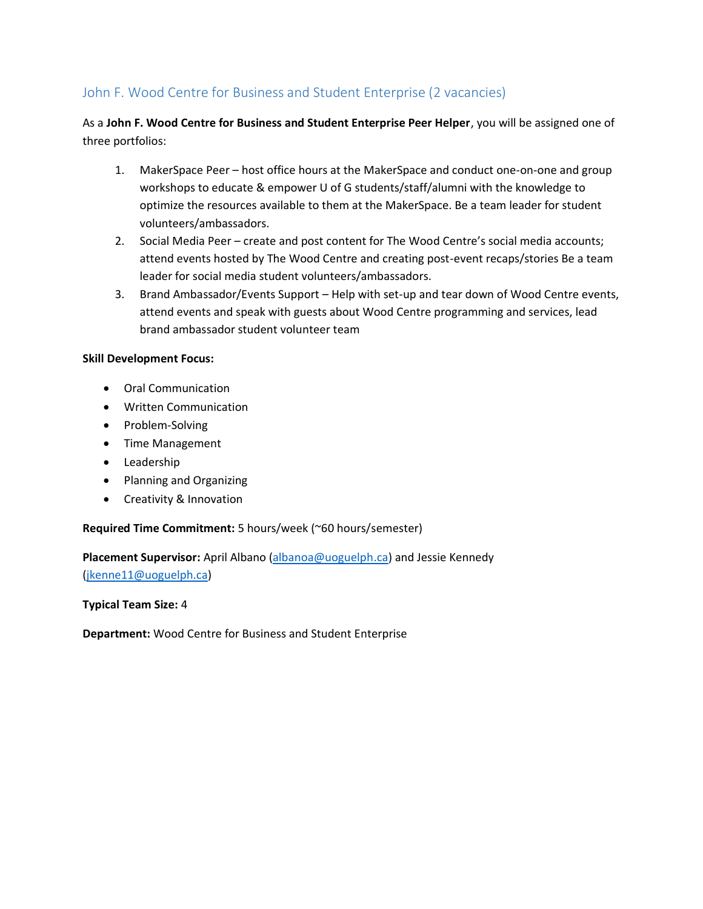### <span id="page-15-0"></span>John F. Wood Centre for Business and Student Enterprise (2 vacancies)

As a **John F. Wood Centre for Business and Student Enterprise Peer Helper**, you will be assigned one of three portfolios:

- 1. MakerSpace Peer host office hours at the MakerSpace and conduct one-on-one and group workshops to educate & empower U of G students/staff/alumni with the knowledge to optimize the resources available to them at the MakerSpace. Be a team leader for student volunteers/ambassadors.
- 2. Social Media Peer create and post content for The Wood Centre's social media accounts; attend events hosted by The Wood Centre and creating post-event recaps/stories Be a team leader for social media student volunteers/ambassadors.
- 3. Brand Ambassador/Events Support Help with set-up and tear down of Wood Centre events, attend events and speak with guests about Wood Centre programming and services, lead brand ambassador student volunteer team

#### **Skill Development Focus:**

- Oral Communication
- Written Communication
- Problem-Solving
- Time Management
- Leadership
- Planning and Organizing
- Creativity & Innovation

#### **Required Time Commitment:** 5 hours/week (~60 hours/semester)

**Placement Supervisor:** April Albano [\(albanoa@uoguelph.ca\)](mailto:albanoa@uoguelph.ca) and Jessie Kennedy [\(jkenne11@uoguelph.ca\)](mailto:jkenne11@uoguelph.ca)

**Typical Team Size:** 4

**Department:** Wood Centre for Business and Student Enterprise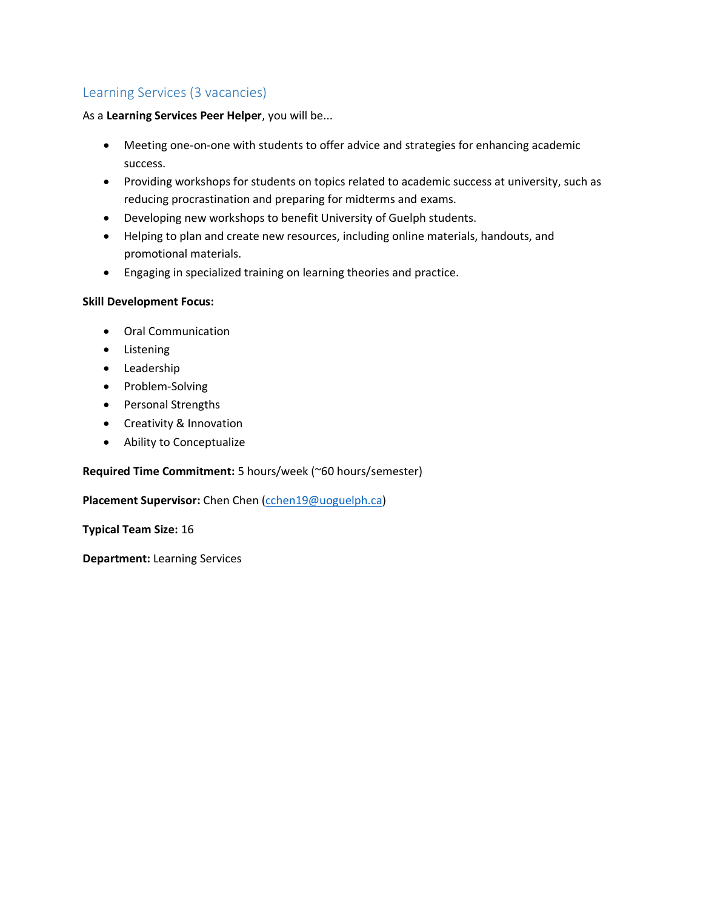### <span id="page-16-0"></span>Learning Services (3 vacancies)

#### As a **Learning Services Peer Helper**, you will be...

- Meeting one-on-one with students to offer advice and strategies for enhancing academic success.
- Providing workshops for students on topics related to academic success at university, such as reducing procrastination and preparing for midterms and exams.
- Developing new workshops to benefit University of Guelph students.
- Helping to plan and create new resources, including online materials, handouts, and promotional materials.
- Engaging in specialized training on learning theories and practice.

#### **Skill Development Focus:**

- Oral Communication
- Listening
- Leadership
- Problem-Solving
- Personal Strengths
- Creativity & Innovation
- Ability to Conceptualize

#### **Required Time Commitment:** 5 hours/week (~60 hours/semester)

#### **Placement Supervisor:** Chen Chen [\(cchen19@uoguelph.ca\)](mailto:cchen19@uoguelph.ca)

**Typical Team Size:** 16

**Department:** Learning Services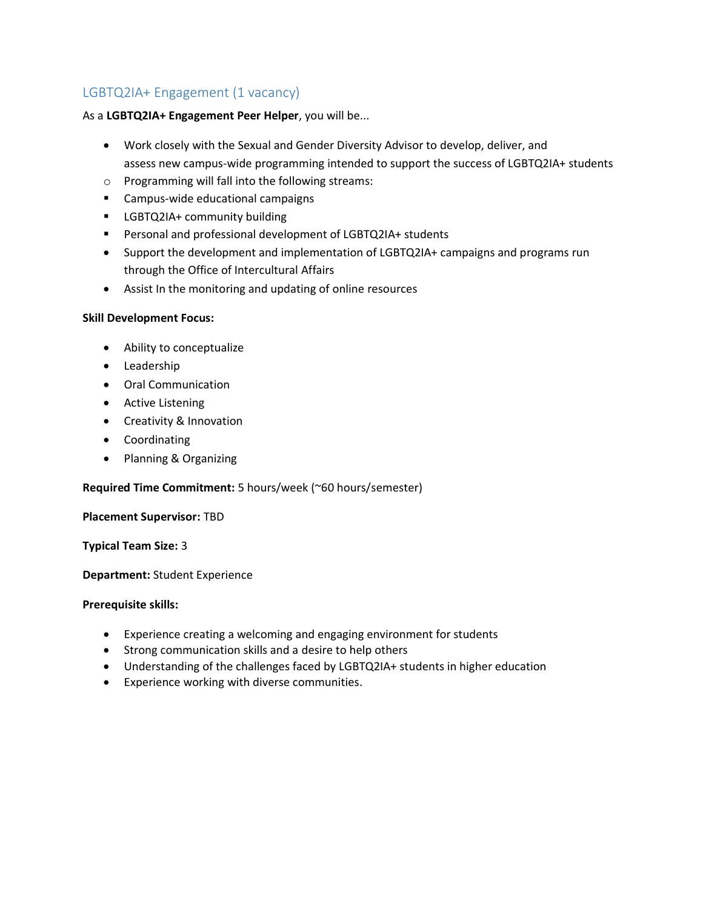### <span id="page-17-0"></span>LGBTQ2IA+ Engagement (1 vacancy)

#### As a **LGBTQ2IA+ Engagement Peer Helper**, you will be...

- Work closely with the Sexual and Gender Diversity Advisor to develop, deliver, and assess new campus-wide programming intended to support the success of LGBTQ2IA+ students
- o Programming will fall into the following streams:
- Campus-wide educational campaigns
- **■** LGBTQ2IA+ community building
- Personal and professional development of LGBTQ2IA+ students
- Support the development and implementation of LGBTQ2IA+ campaigns and programs run through the Office of Intercultural Affairs
- Assist In the monitoring and updating of online resources

#### **Skill Development Focus:**

- Ability to conceptualize
- Leadership
- Oral Communication
- Active Listening
- Creativity & Innovation
- Coordinating
- Planning & Organizing

#### **Required Time Commitment:** 5 hours/week (~60 hours/semester)

#### **Placement Supervisor:** TBD

**Typical Team Size:** 3

**Department:** Student Experience

#### **Prerequisite skills:**

- Experience creating a welcoming and engaging environment for students
- Strong communication skills and a desire to help others
- Understanding of the challenges faced by LGBTQ2IA+ students in higher education
- Experience working with diverse communities.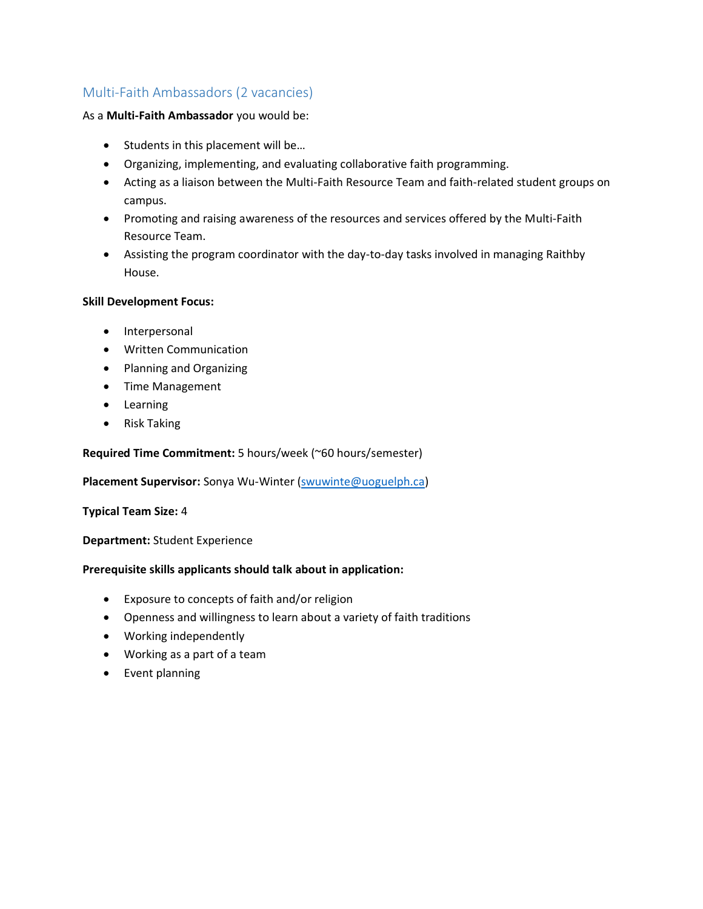### <span id="page-18-0"></span>Multi-Faith Ambassadors (2 vacancies)

#### As a **Multi-Faith Ambassador** you would be:

- Students in this placement will be...
- Organizing, implementing, and evaluating collaborative faith programming.
- Acting as a liaison between the Multi-Faith Resource Team and faith-related student groups on campus.
- Promoting and raising awareness of the resources and services offered by the Multi-Faith Resource Team.
- Assisting the program coordinator with the day-to-day tasks involved in managing Raithby House.

#### **Skill Development Focus:**

- Interpersonal
- Written Communication
- Planning and Organizing
- Time Management
- Learning
- Risk Taking

#### **Required Time Commitment:** 5 hours/week (~60 hours/semester)

**Placement Supervisor:** Sonya Wu-Winter [\(swuwinte@uoguelph.ca\)](mailto:swuwinte@uoguelph.ca)

#### **Typical Team Size:** 4

#### **Department:** Student Experience

- Exposure to concepts of faith and/or religion
- Openness and willingness to learn about a variety of faith traditions
- Working independently
- Working as a part of a team
- Event planning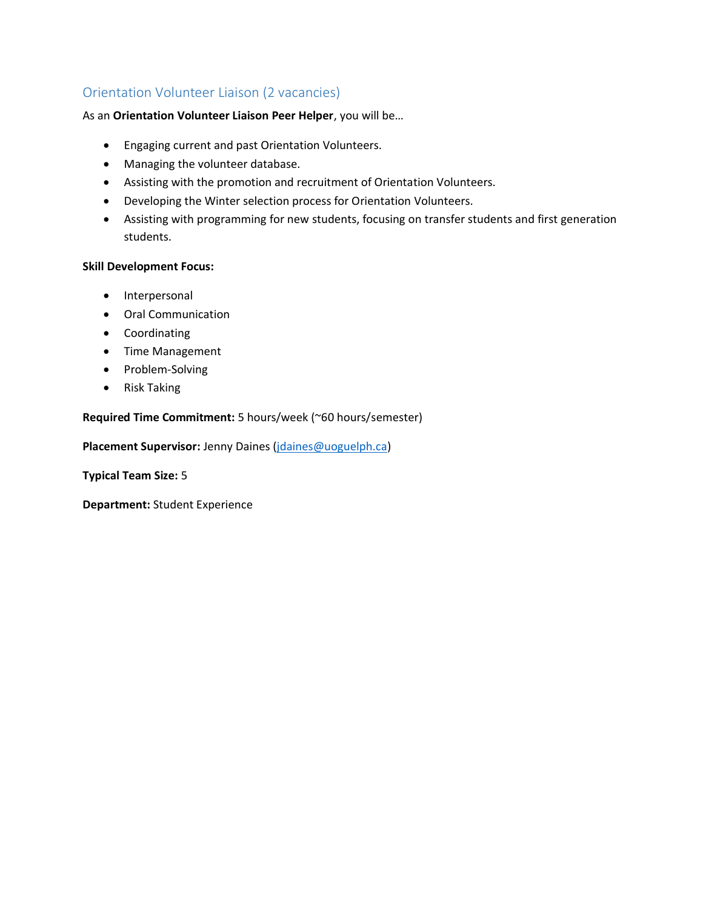### <span id="page-19-0"></span>Orientation Volunteer Liaison (2 vacancies)

As an **Orientation Volunteer Liaison Peer Helper**, you will be…

- Engaging current and past Orientation Volunteers.
- Managing the volunteer database.
- Assisting with the promotion and recruitment of Orientation Volunteers.
- Developing the Winter selection process for Orientation Volunteers.
- Assisting with programming for new students, focusing on transfer students and first generation students.

#### **Skill Development Focus:**

- Interpersonal
- Oral Communication
- Coordinating
- Time Management
- Problem-Solving
- Risk Taking

#### **Required Time Commitment:** 5 hours/week (~60 hours/semester)

**Placement Supervisor:** Jenny Daines [\(jdaines@uoguelph.ca\)](mailto:jdaines@uoguelph.ca)

**Typical Team Size:** 5

**Department:** Student Experience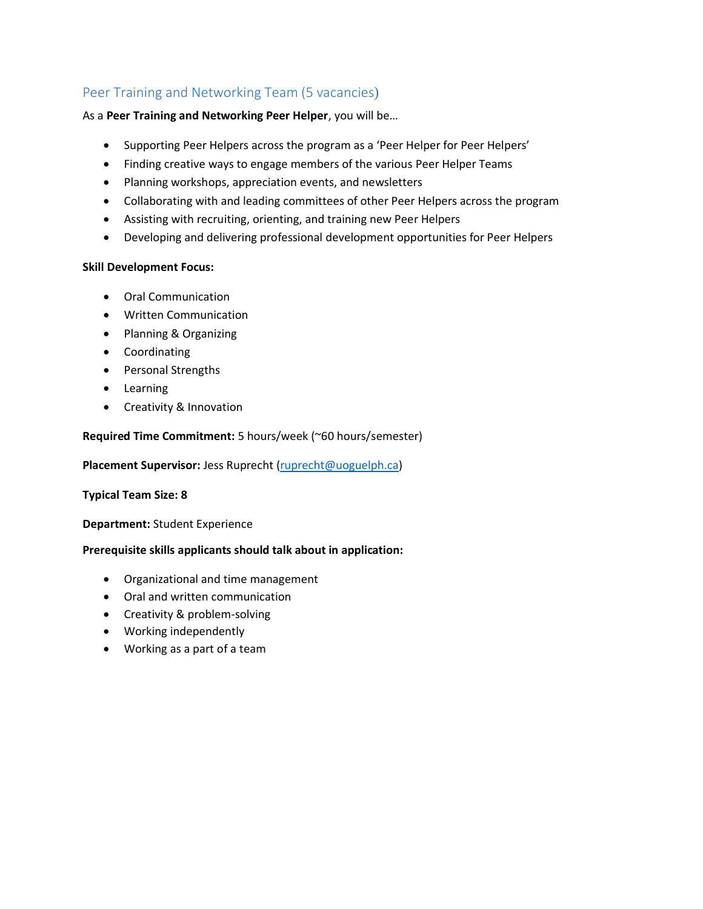### <span id="page-20-0"></span>Peer Training and Networking Team (5 vacancies)

#### As a **Peer Training and Networking Peer Helper**, you will be…

- Supporting Peer Helpers across the program as a 'Peer Helper for Peer Helpers'
- Finding creative ways to engage members of the various Peer Helper Teams
- Planning workshops, appreciation events, and newsletters
- Collaborating with and leading committees of other Peer Helpers across the program
- Assisting with recruiting, orienting, and training new Peer Helpers
- Developing and delivering professional development opportunities for Peer Helpers

#### **Skill Development Focus:**

- Oral Communication
- Written Communication
- Planning & Organizing
- Coordinating
- Personal Strengths
- Learning
- Creativity & Innovation

#### **Required Time Commitment:** 5 hours/week (~60 hours/semester)

**Placement Supervisor:** Jess Ruprecht [\(ruprecht@uoguelph.ca\)](mailto:ruprecht@uoguelph.ca)

#### **Typical Team Size: 8**

**Department:** Student Experience

- Organizational and time management
- Oral and written communication
- Creativity & problem-solving
- Working independently
- Working as a part of a team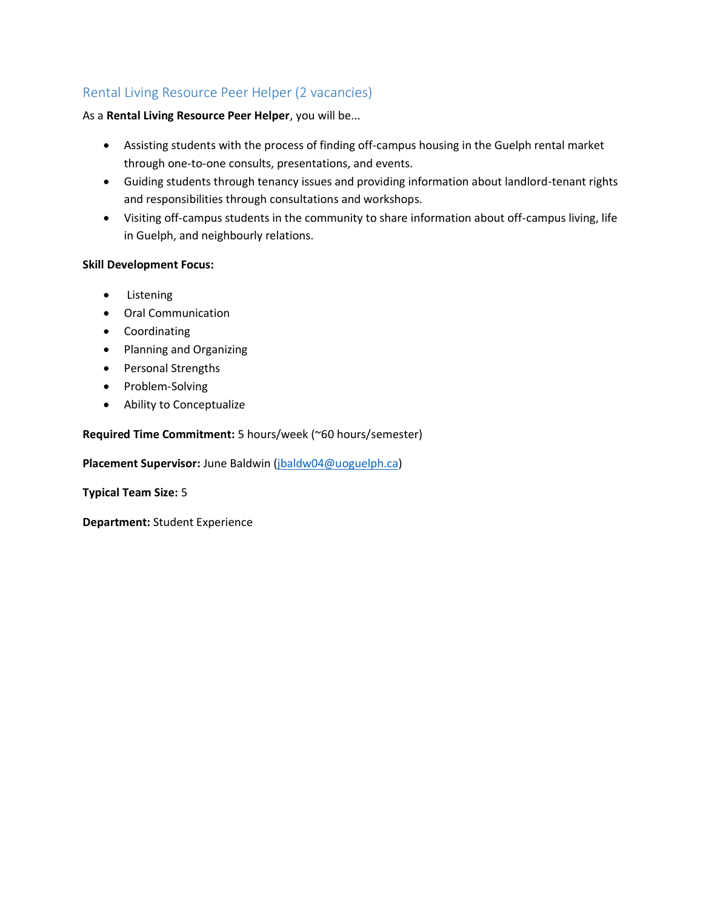### <span id="page-21-0"></span>Rental Living Resource Peer Helper (2 vacancies)

#### As a **Rental Living Resource Peer Helper**, you will be...

- Assisting students with the process of finding off-campus housing in the Guelph rental market through one-to-one consults, presentations, and events.
- Guiding students through tenancy issues and providing information about landlord-tenant rights and responsibilities through consultations and workshops.
- Visiting off-campus students in the community to share information about off-campus living, life in Guelph, and neighbourly relations.

#### **Skill Development Focus:**

- Listening
- Oral Communication
- Coordinating
- Planning and Organizing
- Personal Strengths
- Problem-Solving
- Ability to Conceptualize

#### **Required Time Commitment:** 5 hours/week (~60 hours/semester)

**Placement Supervisor:** June Baldwin [\(jbaldw04@uoguelph.ca\)](mailto:jbaldw04@uoguelph.ca)

**Typical Team Size:** 5

**Department:** Student Experience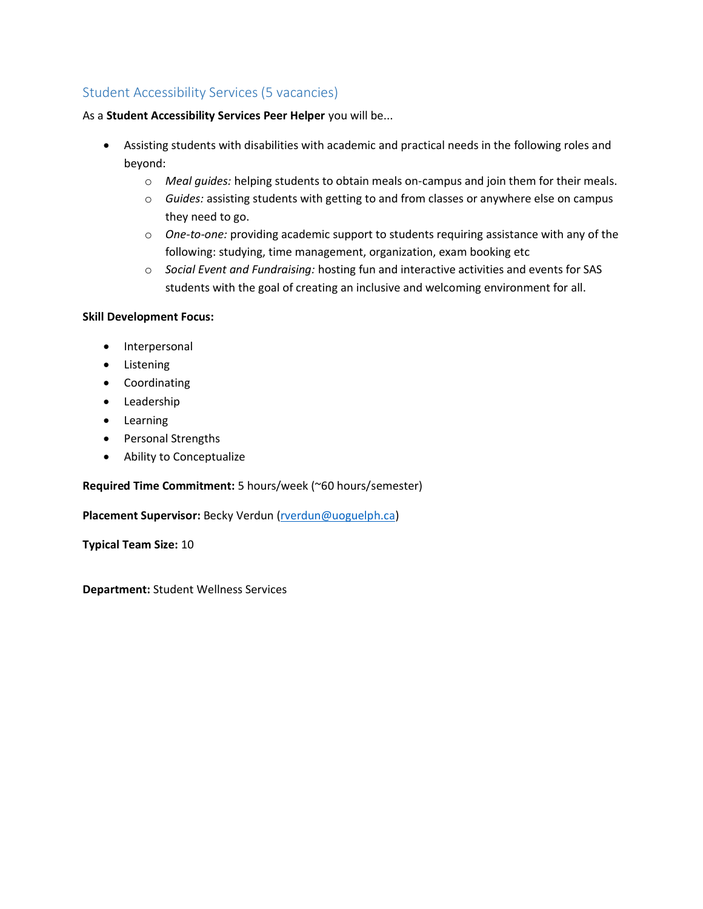### <span id="page-22-0"></span>Student Accessibility Services (5 vacancies)

As a **Student Accessibility Services Peer Helper** you will be...

- Assisting students with disabilities with academic and practical needs in the following roles and beyond:
	- o *Meal guides:* helping students to obtain meals on-campus and join them for their meals.
	- o *Guides:* assisting students with getting to and from classes or anywhere else on campus they need to go.
	- o *One-to-one:* providing academic support to students requiring assistance with any of the following: studying, time management, organization, exam booking etc
	- o *Social Event and Fundraising:* hosting fun and interactive activities and events for SAS students with the goal of creating an inclusive and welcoming environment for all.

#### **Skill Development Focus:**

- Interpersonal
- Listening
- Coordinating
- Leadership
- Learning
- Personal Strengths
- Ability to Conceptualize

#### **Required Time Commitment:** 5 hours/week (~60 hours/semester)

Placement Supervisor: Becky Verdun [\(rverdun@uoguelph.ca\)](mailto:rverdun@uoguelph.ca)

**Typical Team Size:** 10

<span id="page-22-1"></span>**Department:** Student Wellness Services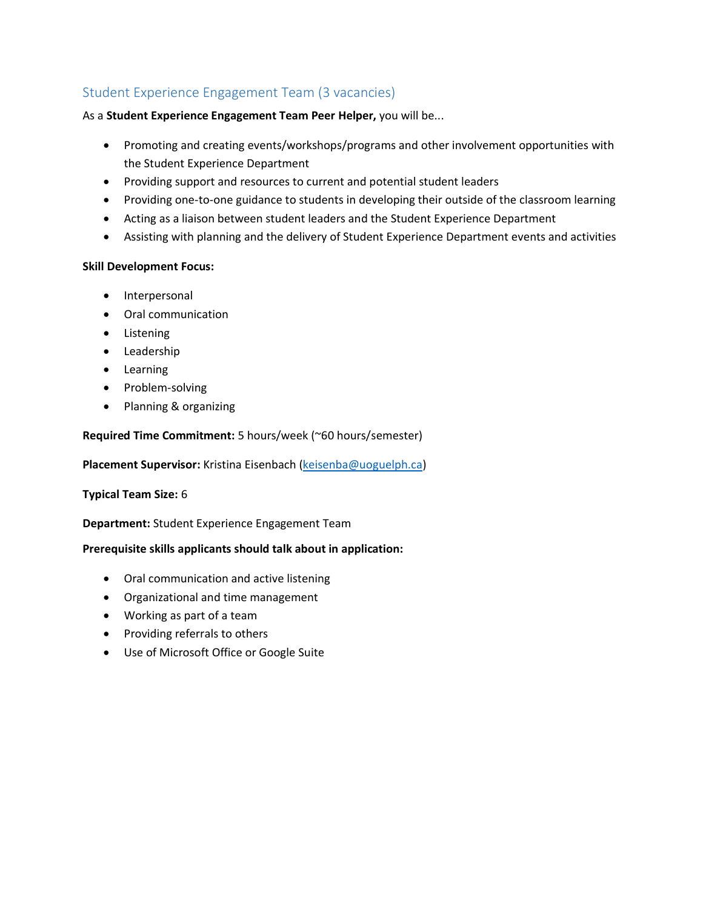### <span id="page-23-0"></span>Student Experience Engagement Team (3 vacancies)

As a **Student Experience Engagement Team Peer Helper,** you will be...

- Promoting and creating events/workshops/programs and other involvement opportunities with the Student Experience Department
- Providing support and resources to current and potential student leaders
- Providing one-to-one guidance to students in developing their outside of the classroom learning
- Acting as a liaison between student leaders and the Student Experience Department
- Assisting with planning and the delivery of Student Experience Department events and activities

#### **Skill Development Focus:**

- Interpersonal
- Oral communication
- Listening
- Leadership
- Learning
- Problem-solving
- Planning & organizing

#### **Required Time Commitment:** 5 hours/week (~60 hours/semester)

**Placement Supervisor:** Kristina Eisenbach [\(keisenba@uoguelph.ca\)](mailto:keisenba@uoguelph.ca)

#### **Typical Team Size:** 6

**Department:** Student Experience Engagement Team

- Oral communication and active listening
- Organizational and time management
- Working as part of a team
- Providing referrals to others
- Use of Microsoft Office or Google Suite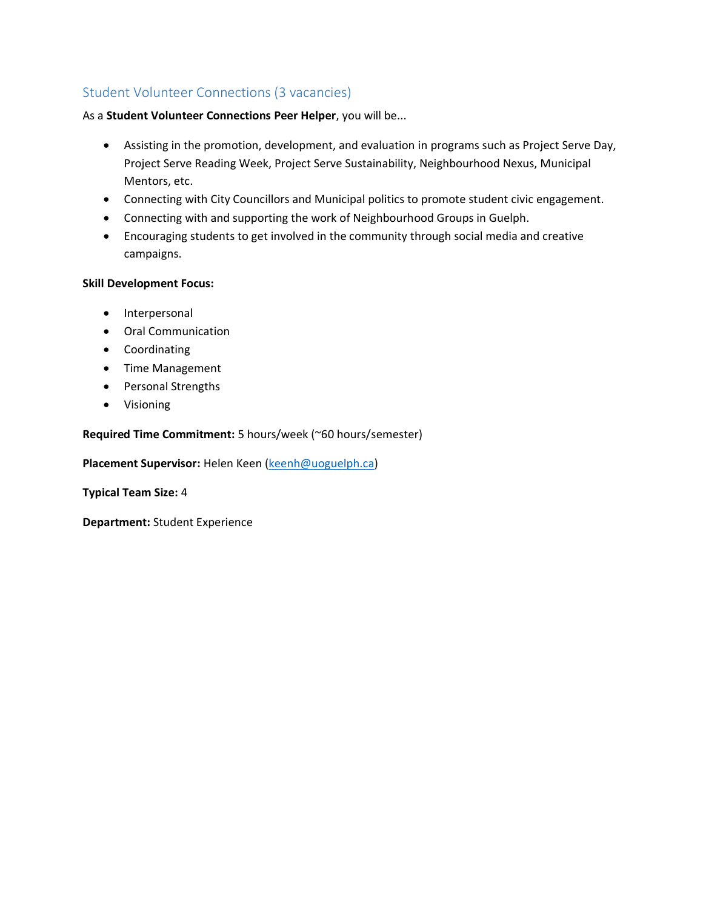### <span id="page-24-0"></span>Student Volunteer Connections (3 vacancies)

#### As a **Student Volunteer Connections Peer Helper**, you will be...

- Assisting in the promotion, development, and evaluation in programs such as Project Serve Day, Project Serve Reading Week, Project Serve Sustainability, Neighbourhood Nexus, Municipal Mentors, etc.
- Connecting with City Councillors and Municipal politics to promote student civic engagement.
- Connecting with and supporting the work of Neighbourhood Groups in Guelph.
- Encouraging students to get involved in the community through social media and creative campaigns.

#### **Skill Development Focus:**

- Interpersonal
- Oral Communication
- Coordinating
- Time Management
- Personal Strengths
- Visioning

#### **Required Time Commitment:** 5 hours/week (~60 hours/semester)

**Placement Supervisor:** Helen Keen [\(keenh@uoguelph.ca\)](mailto:keenh@uoguelph.ca)

**Typical Team Size:** 4

**Department:** Student Experience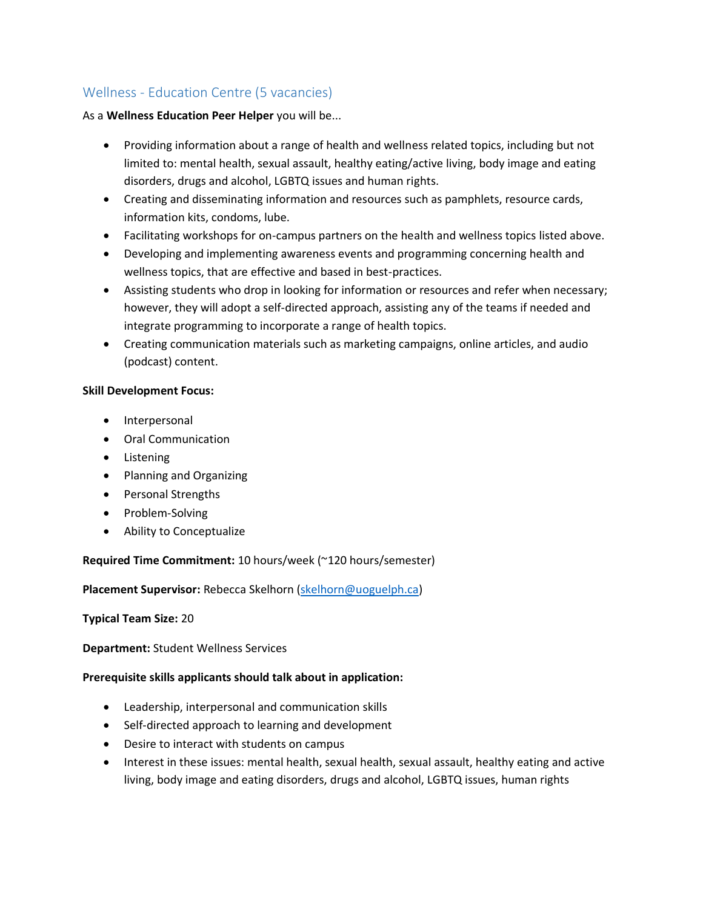### <span id="page-25-0"></span>Wellness - Education Centre (5 vacancies)

#### As a **Wellness Education Peer Helper** you will be...

- Providing information about a range of health and wellness related topics, including but not limited to: mental health, sexual assault, healthy eating/active living, body image and eating disorders, drugs and alcohol, LGBTQ issues and human rights.
- Creating and disseminating information and resources such as pamphlets, resource cards, information kits, condoms, lube.
- Facilitating workshops for on-campus partners on the health and wellness topics listed above.
- Developing and implementing awareness events and programming concerning health and wellness topics, that are effective and based in best-practices.
- Assisting students who drop in looking for information or resources and refer when necessary; however, they will adopt a self-directed approach, assisting any of the teams if needed and integrate programming to incorporate a range of health topics.
- Creating communication materials such as marketing campaigns, online articles, and audio (podcast) content.

#### **Skill Development Focus:**

- Interpersonal
- Oral Communication
- Listening
- Planning and Organizing
- Personal Strengths
- Problem-Solving
- Ability to Conceptualize

#### **Required Time Commitment:** 10 hours/week (~120 hours/semester)

**Placement Supervisor:** Rebecca Skelhorn [\(skelhorn@uoguelph.ca\)](mailto:skelhorn@uoguelph.ca)

#### **Typical Team Size:** 20

**Department:** Student Wellness Services

- Leadership, interpersonal and communication skills
- Self-directed approach to learning and development
- Desire to interact with students on campus
- Interest in these issues: mental health, sexual health, sexual assault, healthy eating and active living, body image and eating disorders, drugs and alcohol, LGBTQ issues, human rights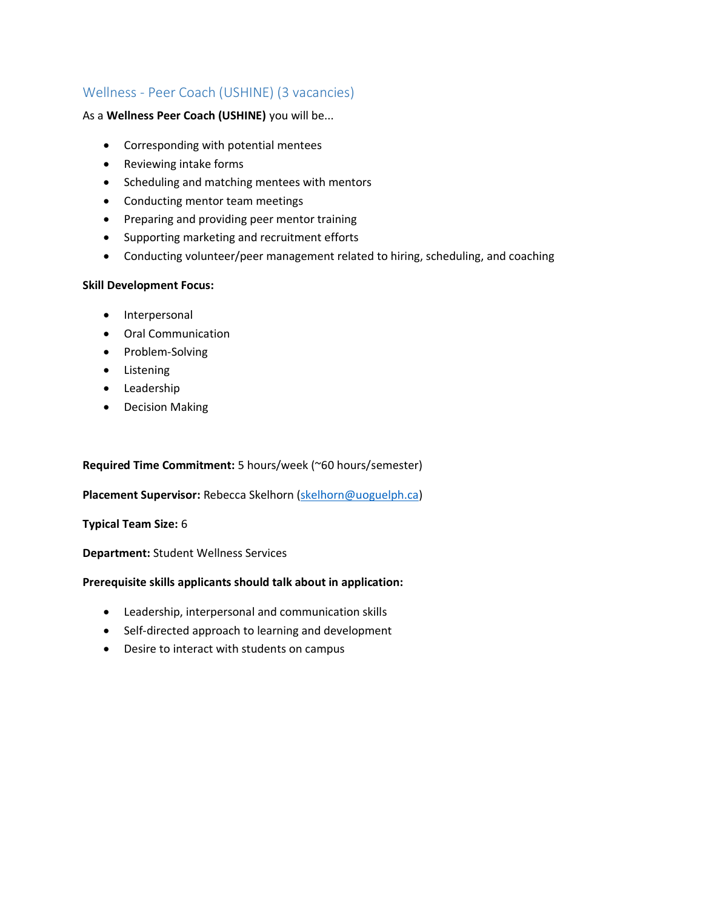### <span id="page-26-0"></span>Wellness - Peer Coach (USHINE) (3 vacancies)

#### As a **Wellness Peer Coach (USHINE)** you will be...

- Corresponding with potential mentees
- Reviewing intake forms
- Scheduling and matching mentees with mentors
- Conducting mentor team meetings
- Preparing and providing peer mentor training
- Supporting marketing and recruitment efforts
- Conducting volunteer/peer management related to hiring, scheduling, and coaching

#### **Skill Development Focus:**

- Interpersonal
- Oral Communication
- Problem-Solving
- Listening
- Leadership
- Decision Making

**Required Time Commitment:** 5 hours/week (~60 hours/semester)

#### **Placement Supervisor:** Rebecca Skelhorn [\(skelhorn@uoguelph.ca\)](mailto:skelhorn@uoguelph.ca)

#### **Typical Team Size:** 6

**Department:** Student Wellness Services

- Leadership, interpersonal and communication skills
- Self-directed approach to learning and development
- Desire to interact with students on campus